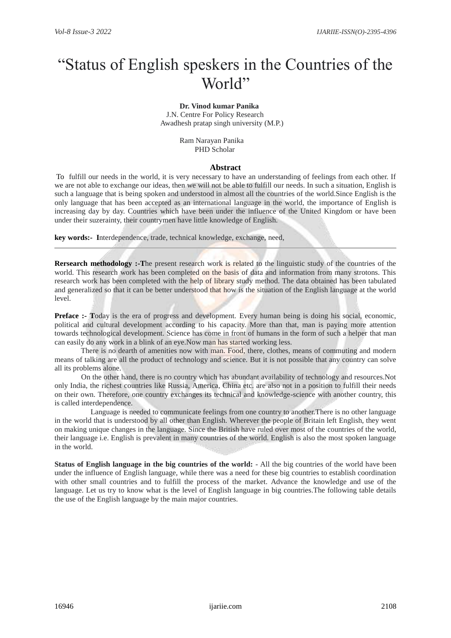# "Status of English speskers in the Countries of the World"

#### **Dr. Vinod kumar Panika** J.N. Centre For Policy Research

Awadhesh pratap singh university (M.P.)

 Ram Narayan Panika PHD Scholar

## **Abstract**

To fulfill our needs in the world, it is very necessary to have an understanding of feelings from each other. If we are not able to exchange our ideas, then we will not be able to fulfill our needs. In such a situation, English is such a language that is being spoken and understood in almost all the countries of the world.Since English is the only language that has been accepted as an international language in the world, the importance of English is increasing day by day. Countries which have been under the influence of the United Kingdom or have been under their suzerainty, their countrymen have little knowledge of English.

**key words:- I**nterdependence, trade, technical knowledge, exchange, need,

**Rersearch methodology :-The present research work is related to the linguistic study of the countries of the** world. This research work has been completed on the basis of data and information from many strotons. This research work has been completed with the help of library study method. The data obtained has been tabulated and generalized so that it can be better understood that how is the situation of the English language at the world level.

**Preface :- T**oday is the era of progress and development. Every human being is doing his social, economic, political and cultural development according to his capacity. More than that, man is paying more attention towards technological development. Science has come in front of humans in the form of such a helper that man can easily do any work in a blink of an eye.Now man has started working less.

 There is no dearth of amenities now with man. Food, there, clothes, means of commuting and modern means of talking are all the product of technology and science. But it is not possible that any country can solve all its problems alone.

 On the other hand, there is no country which has abundant availability of technology and resources.Not only India, the richest countries like Russia, America, China etc. are also not in a position to fulfill their needs on their own. Therefore, one country exchanges its technical and knowledge-science with another country, this is called interdependence.

 Language is needed to communicate feelings from one country to another.There is no other language in the world that is understood by all other than English. Wherever the people of Britain left English, they went on making unique changes in the language. Since the British have ruled over most of the countries of the world, their language i.e. English is prevalent in many countries of the world. English is also the most spoken language in the world.

**Status of English language in the big countries of the world:** - All the big countries of the world have been under the influence of English language, while there was a need for these big countries to establish coordination with other small countries and to fulfill the process of the market. Advance the knowledge and use of the language. Let us try to know what is the level of English language in big countries.The following table details the use of the English language by the main major countries.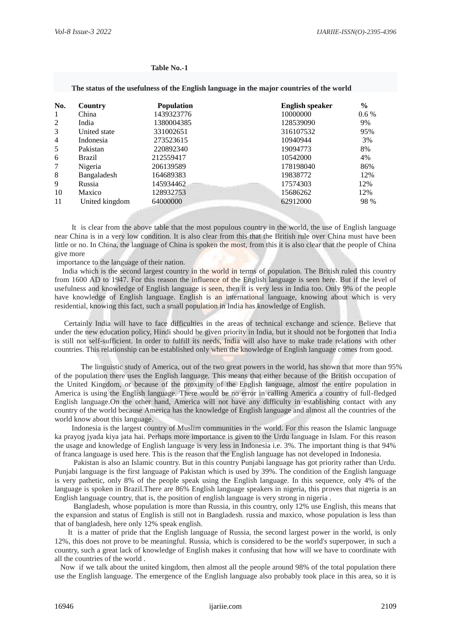| The status of the usefulness of the English language in the major countries of the world |                |                   |                        |         |  |
|------------------------------------------------------------------------------------------|----------------|-------------------|------------------------|---------|--|
| No.                                                                                      | Country        | <b>Population</b> | <b>English speaker</b> | $\%$    |  |
| -1                                                                                       | China          | 1439323776        | 10000000               | $0.6\%$ |  |
| 2                                                                                        | India          | 1380004385        | 128539090              | 9%      |  |
| 3                                                                                        | United state   | 331002651         | 316107532              | 95%     |  |
| $\overline{4}$                                                                           | Indonesia      | 273523615         | 10940944               | 3%      |  |
| 5                                                                                        | Pakistan       | 220892340         | 19094773               | 8%      |  |
| 6                                                                                        | <b>Brazil</b>  | 212559417         | 10542000               | 4%      |  |
| 7                                                                                        | Nigeria        | 206139589         | 178198040              | 86%     |  |
| 8                                                                                        | Bangaladesh    | 164689383         | 19838772               | 12%     |  |
| 9                                                                                        | Russia         | 145934462         | 17574303               | 12%     |  |
| 10                                                                                       | Maxico         | 128932753         | 15686262               | 12%     |  |
| 11                                                                                       | United kingdom | 64000000          | 62912000               | 98 %    |  |

#### **Table No.-1**

 It is clear from the above table that the most populous country in the world, the use of English language near China is in a very low condition. It is also clear from this that the British rule over China must have been little or no. In China, the language of China is spoken the most, from this it is also clear that the people of China give more

importance to the language of their nation.

 India which is the second largest country in the world in terms of population. The British ruled this country from 1600 AD to 1947. For this reason the influence of the English language is seen here. But if the level of usefulness and knowledge of English language is seen, then it is very less in India too. Only 9% of the people have knowledge of English language. English is an international language, knowing about which is very residential, knowing this fact, such a small population in India has knowledge of English.

 Certainly India will have to face difficulties in the areas of technical exchange and science. Believe that under the new education policy, Hindi should be given priority in India, but it should not be forgotten that India is still not self-sufficient. In order to fulfill its needs, India will also have to make trade relations with other countries. This relationship can be established only when the knowledge of English language comes from good.

 The linguistic study of America, out of the two great powers in the world, has shown that more than 95% of the population there uses the English language. This means that either because of the British occupation of the United Kingdom, or because of the proximity of the English language, almost the entire population in America is using the English language. There would be no error in calling America a country of full-fledged English language.On the other hand, America will not have any difficulty in establishing contact with any country of the world because America has the knowledge of English language and almost all the countries of the world know about this language.

 Indonesia is the largest country of Muslim communities in the world. For this reason the Islamic language ka prayog jyada kiya jata hai. Perhaps more importance is given to the Urdu language in Islam. For this reason the usage and knowledge of English language is very less in Indonesia i.e. 3%. The important thing is that 94% of franca language is used here. This is the reason that the English language has not developed in Indonesia.

 Pakistan is also an Islamic country. But in this country Punjabi language has got priority rather than Urdu. Punjabi language is the first language of Pakistan which is used by 39%. The condition of the English language is very pathetic, only 8% of the people speak using the English language. In this sequence, only 4% of the language is spoken in Brazil.There are 86% English language speakers in nigeria, this proves that nigeria is an English language country, that is, the position of english language is very strong in nigeria .

 Bangladesh, whose population is more than Russia, in this country, only 12% use English, this means that the expansion and status of English is still not in Bangladesh. russia and maxico, whose population is less than that of bangladesh, here only 12% speak english.

 It is a matter of pride that the English language of Russia, the second largest power in the world, is only 12%, this does not prove to be meaningful. Russia, which is considered to be the world's superpower, in such a country, such a great lack of knowledge of English makes it confusing that how will we have to coordinate with all the countries of the world .

 Now if we talk about the united kingdom, then almost all the people around 98% of the total population there use the English language. The emergence of the English language also probably took place in this area, so it is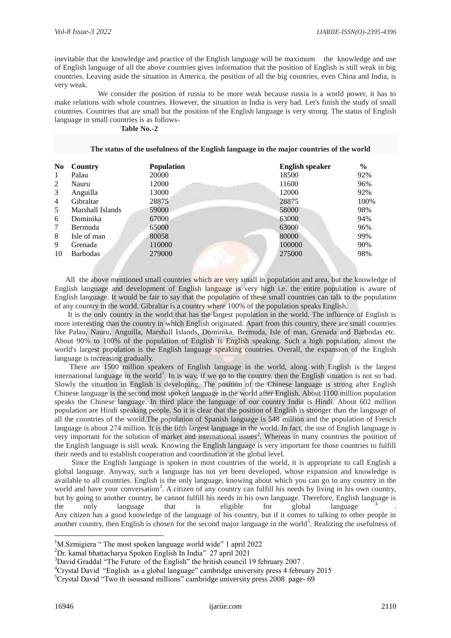inevitable that the knowledge and practice of the English language will be maximum the knowledge and use of English language of all the above countries gives information that the position of English is still weak in big countries. Leaving aside the situation in America, the position of all the big countries, even China and India, is very weak.

 We consider the position of russia to be more weak because russia is a world power, it has to make relations with whole countries. However, the situation in India is very bad. Let's finish the study of small countries. Countries that are small but the position of the English language is very strong. The status of English language in small countries is as follows-

# **Table No.-2**

| N <sub>0</sub> | Country          | <b>Population</b> | <b>English speaker</b> | $\frac{0}{0}$ |
|----------------|------------------|-------------------|------------------------|---------------|
| 1              | Palau            | 20000             | 18500                  | 92%           |
| 2              | Nauru            | 12000             | 11600                  | 96%           |
| 3              | Anguilla         | 13000             | 12000                  | 92%           |
| 4              | Gibraltar        | 28875             | 28875                  | 100%          |
| 5              | Marshall Islands | 59000             | 58000                  | 98%           |
| 6              | Dominika         | 67000             | 63000                  | 94%           |
| 7              | Bermuda          | 65000             | 63000                  | 96%           |
| 8              | Isle of man      | 80058             | 80000                  | 99%           |
| 9              | Grenada          | 110000            | 100000                 | 90%           |
| 10             | <b>Barbodas</b>  | 279000            | 275000                 | 98%           |

# **The status of the usefulness of the English language in the major countries of the world**

All the above mentioned small countries which are very small in population and area, but the knowledge of English language and development of English language is very high i.e. the entire population is aware of English language. It would be fair to say that the population of these small countries can talk to the population of any country in the world. Gibraltar is a country where 100% of the population speaks English.

 It is the only country in the world that has the largest population in the world. The influence of English is more interesting than the country in which English originated. Apart from this country, there are small countries like Palau, Nauru, Anguilla, Marshall Islands, Dominika, Bermuda, Isle of man, Grenada and Barbodas etc. About 90% to 100% of the population of English is English speaking. Such a high population, almost the world's largest population is the English language speaking countries. Overall, the expansion of the English language is increasing gradually.

 There are 1500 million speakers of English language in the world, along with English is the largest international language in the world<sup>1</sup>. In is way, if we go to the country, then the English situation is not so bad. Slowly the situation in English is developing. The position of the Chinese language is strong after English Chinese language is the second most spoken language in the world after English. About 1100 million population speaks the Chinese language. In third place the language of our country India is Hindi. About 602 million population are Hindi speaking people. So it is clear that the position of English is stronger than the language of all the countries of the world.The population of Spanish language is 548 million and the population of French language is about 274 million. It is the fifth largest language in the world. In fact, the use of English language is very important for the solution of market and international issues<sup>2</sup>. Whereas in many countries the position of the English language is still weak. Knowing the English language is very important for those countries to fulfill their needs and to establish cooperation and coordination at the global level.

 Since the English language is spoken in most countries of the world, it is appropriate to call English a global language. Anyway, such a language has not yet been developed, whose expansion and knowledge is available to all countries. English is the only language, knowing about which you can go to any country in the world and have your conversation<sup>3</sup>. A citizen of any country can fulfill his needs by living in his own country, but by going to another country, he cannot fulfill his needs in his own language. Therefore, English language is the only language that is eligible for global language 4 . Any citizen has a good knowledge of the language of his country, but if it comes to talking to other people in another country, then English is chosen for the second major language in the world<sup>5</sup>. Realizing the usefulness of

<u>.</u>

<sup>&</sup>lt;sup>1</sup>M.Szmigiera " The most spoken language world wide" 1 april 2022

<sup>2</sup>Dr. kamal bhattacharya Spoken English In India" 27 april 2021

<sup>&</sup>lt;sup>3</sup>David Graddal "The Future of the English" the british council 19 february 2007.

<sup>4</sup>Crystal David "English as a global language" cambridge university press 4 february 2015

 ${}^{5}$ Crystal David "Two th isousand millions" cambridge university press 2008 page-69